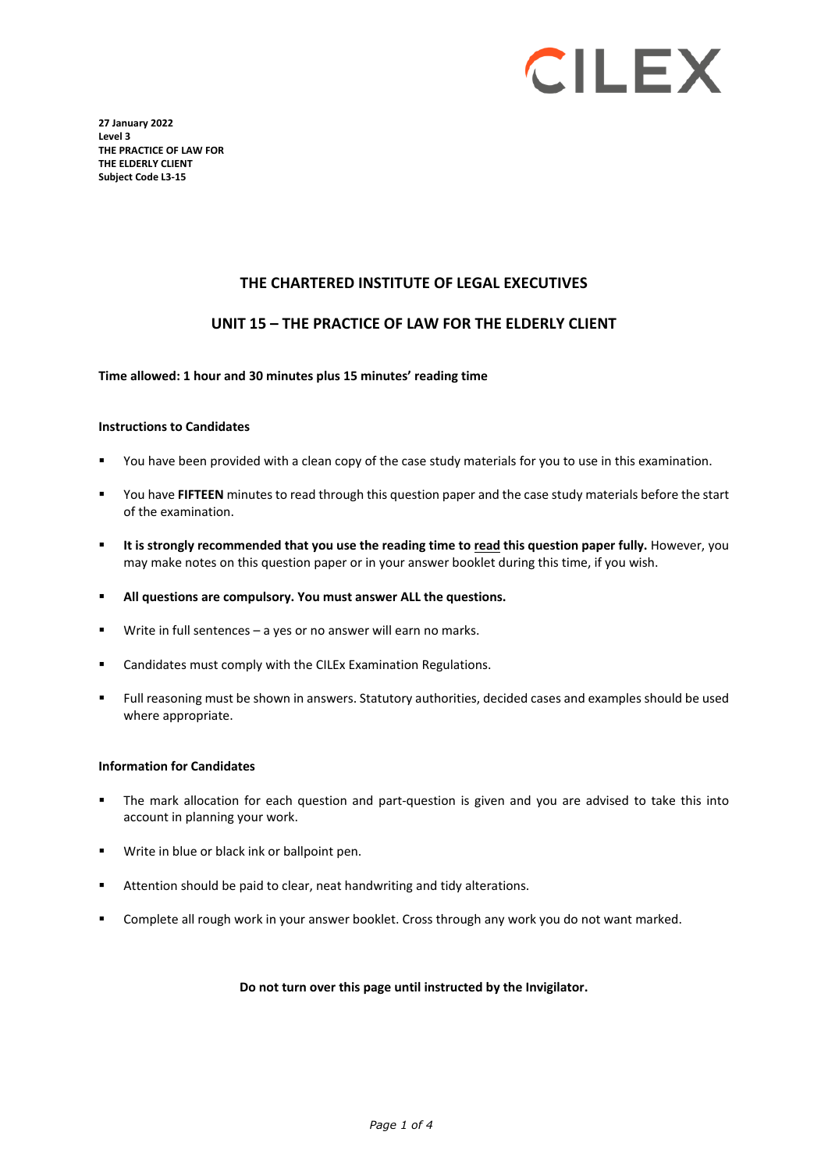

**27 January 2022 Level 3 THE PRACTICE OF LAW FOR THE ELDERLY CLIENT Subject Code L3-15**

### **THE CHARTERED INSTITUTE OF LEGAL EXECUTIVES**

### **UNIT 15 – THE PRACTICE OF LAW FOR THE ELDERLY CLIENT**

### **Time allowed: 1 hour and 30 minutes plus 15 minutes' reading time**

#### **Instructions to Candidates**

- You have been provided with a clean copy of the case study materials for you to use in this examination.
- You have **FIFTEEN** minutes to read through this question paper and the case study materials before the start of the examination.
- **It is strongly recommended that you use the reading time to read this question paper fully.** However, you may make notes on this question paper or in your answer booklet during this time, if you wish.
- **All questions are compulsory. You must answer ALL the questions.**
- Write in full sentences a yes or no answer will earn no marks.
- Candidates must comply with the CILEx Examination Regulations.
- Full reasoning must be shown in answers. Statutory authorities, decided cases and examples should be used where appropriate.

#### **Information for Candidates**

- The mark allocation for each question and part-question is given and you are advised to take this into account in planning your work.
- Write in blue or black ink or ballpoint pen.
- Attention should be paid to clear, neat handwriting and tidy alterations.
- Complete all rough work in your answer booklet. Cross through any work you do not want marked.

### **Do not turn over this page until instructed by the Invigilator.**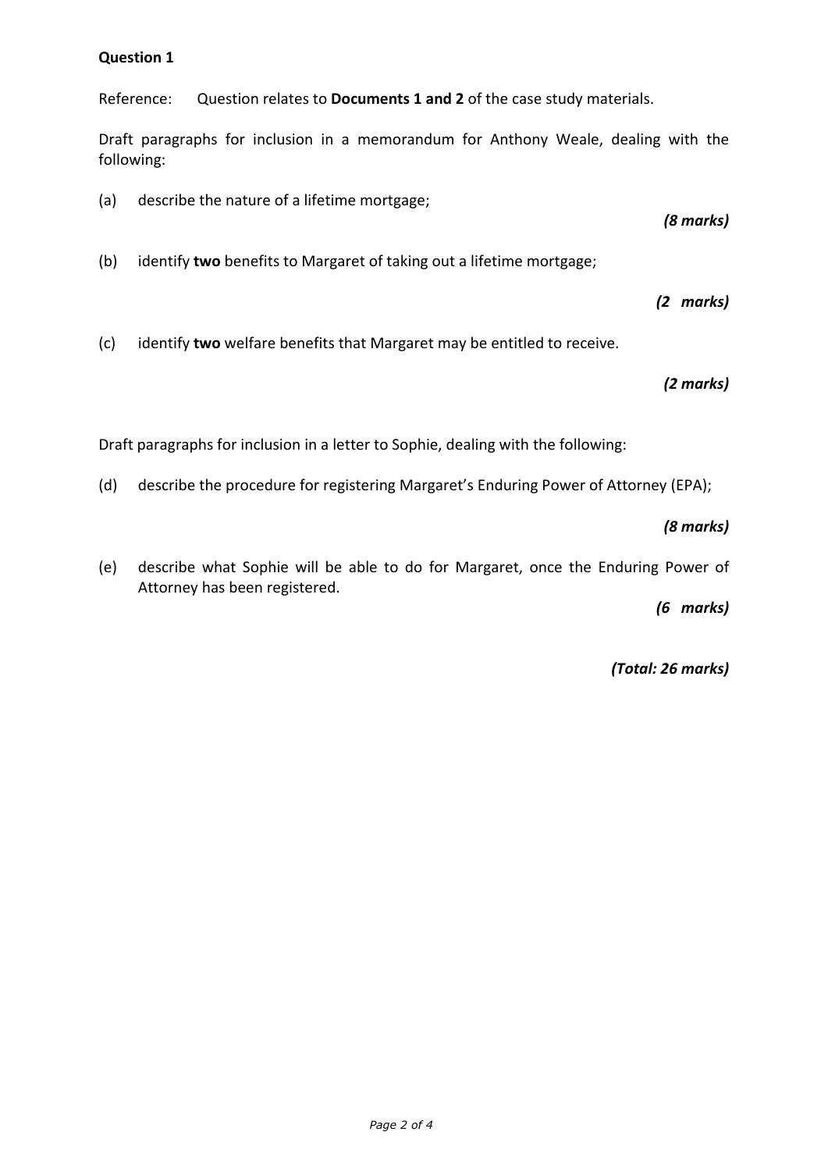## **Question 1**

Reference: Question relates to **Documents 1 and 2** of the case study materials.

Draft paragraphs for inclusion in a memorandum for Anthony Weale, dealing with the following:

(a) describe the nature of a lifetime mortgage;

*(8 marks)*

(b) identify **two** benefits to Margaret of taking out a lifetime mortgage;

*(2 marks)*

(c) identify **two** welfare benefits that Margaret may be entitled to receive.

*(2 marks)*

Draft paragraphs for inclusion in a letter to Sophie, dealing with the following:

(d) describe the procedure for registering Margaret's Enduring Power of Attorney (EPA);

*(8 marks)*

(e) describe what Sophie will be able to do for Margaret, once the Enduring Power of Attorney has been registered.

*(6 marks)*

*(Total: 26 marks)*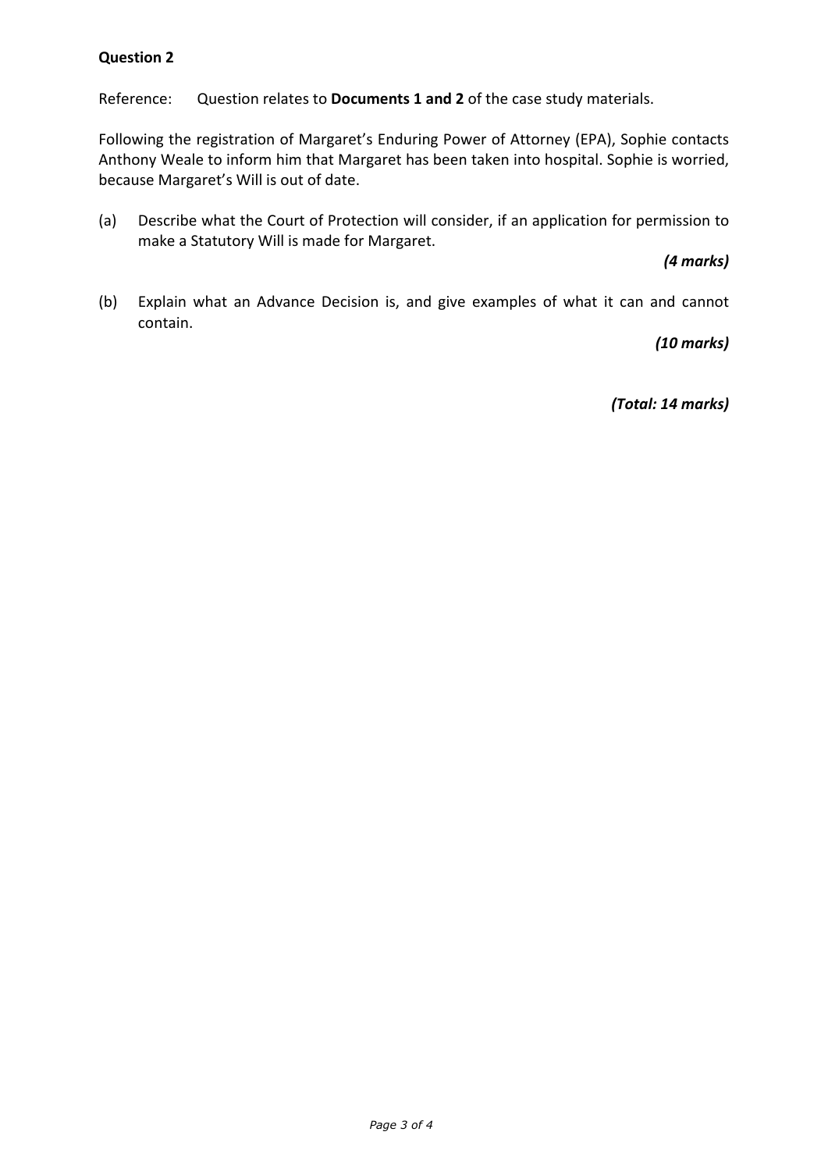# **Question 2**

Reference: Question relates to **Documents 1 and 2** of the case study materials.

Following the registration of Margaret's Enduring Power of Attorney (EPA), Sophie contacts Anthony Weale to inform him that Margaret has been taken into hospital. Sophie is worried, because Margaret's Will is out of date.

(a) Describe what the Court of Protection will consider, if an application for permission to make a Statutory Will is made for Margaret.

*(4 marks)*

(b) Explain what an Advance Decision is, and give examples of what it can and cannot contain.

*(10 marks)*

*(Total: 14 marks)*